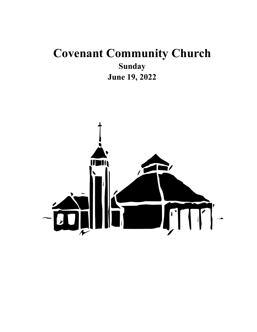# **Covenant Community Church Sunday June 19, 2022**

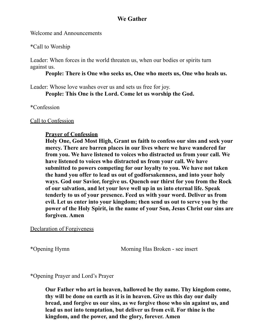#### **We Gather**

Welcome and Announcements

\*Call to Worship

Leader: When forces in the world threaten us, when our bodies or spirits turn against us.

**People: There is One who seeks us, One who meets us, One who heals us.**

Leader: Whose love washes over us and sets us free for joy. **People: This One is the Lord. Come let us worship the God.**

\*Confession

#### Call to Confession

# **Prayer of Confession**

**Holy One, God Most High, Grant us faith to confess our sins and seek your mercy. There are barren places in our lives where we have wandered far from you. We have listened to voices who distracted us from your call. We have listened to voices who distracted us from your call. We have submitted to powers competing for our loyalty to you. We have not taken the hand you offer to lead us out of godforsakenness, and into your holy ways. God our Savior, forgive us. Quench our thirst for you from the Rock of our salvation, and let your love well up in us into eternal life. Speak tenderly to us of your presence. Feed us with your word. Deliver us from evil. Let us enter into your kingdom; then send us out to serve you by the power of the Holy Spirit, in the name of your Son, Jesus Christ our sins are forgiven. Amen**

#### Declaration of Forgiveness

\*Opening Hymn Morning Has Broken - see insert

\*Opening Prayer and Lord's Prayer

**Our Father who art in heaven, hallowed be thy name. Thy kingdom come, thy will be done on earth as it is in heaven. Give us this day our daily bread, and forgive us our sins, as we forgive those who sin against us, and lead us not into temptation, but deliver us from evil. For thine is the kingdom, and the power, and the glory, forever. Amen**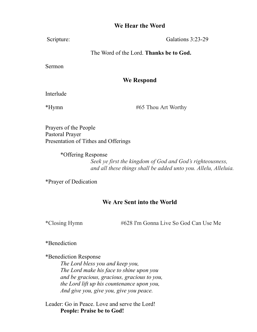### **We Hear the Word**

Scripture: Galations 3:23-29

### The Word of the Lord. **Thanks be to God.**

Sermon

# **We Respond**

Interlude

\*Hymn #65 Thou Art Worthy

Prayers of the People Pastoral Prayer Presentation of Tithes and Offerings

> \*Offering Response *Seek ye first the kingdom of God and God's righteousness, and all these things shall be added unto you. Allelu, Alleluia.*

\*Prayer of Dedication

# **We Are Sent into the World**

\*Closing Hymn #628 I'm Gonna Live So God Can Use Me

\*Benediction

\*Benediction Response

*The Lord bless you and keep you, The Lord make his face to shine upon you and be gracious, gracious, gracious to you, the Lord lift up his countenance upon you, And give you, give you, give you peace.*

Leader: Go in Peace. Love and serve the Lord! **People: Praise be to God!**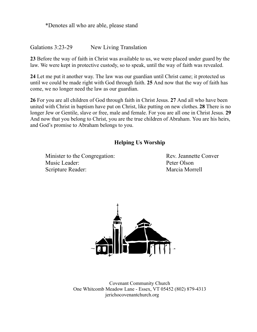\*Denotes all who are able, please stand

Galations 3:23-29 New Living Translation

**23** Before the way of faith in Christ was available to us, we were placed under guard by the law. We were kept in protective custody, so to speak, until the way of faith was revealed.

**24** Let me put it another way. The law was our guardian until Christ came; it protected us until we could be made right with God through faith. **25** And now that the way of faith has come, we no longer need the law as our guardian.

**26** For you are all children of God through faith in Christ Jesus. **27** And all who have been united with Christ in baptism have put on Christ, like putting on new clothes. **28** There is no longer Jew or Gentile, slave or free, male and female. For you are all one in Christ Jesus. **29** And now that you belong to Christ, you are the true children of Abraham. You are his heirs, and God's promise to Abraham belongs to you.

#### **Helping Us Worship**

Minister to the Congregation: Rev. Jeannette Conver Music Leader: Peter Olson Scripture Reader: Marcia Morrell



Covenant Community Church One Whitcomb Meadow Lane - Essex, VT 05452 (802) 879-4313 jerichocovenantchurch.org